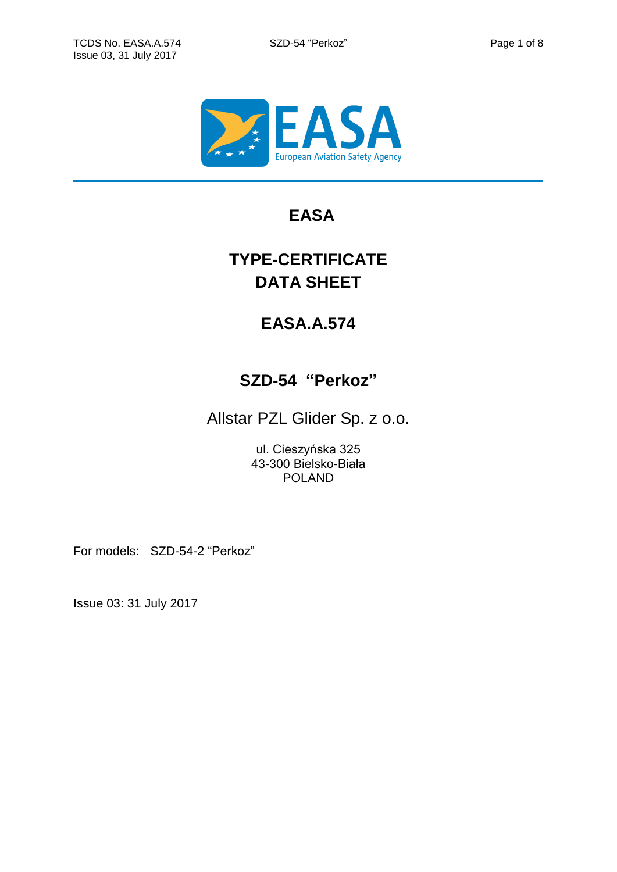

## **EASA**

# **TYPE-CERTIFICATE DATA SHEET**

## **EASA.A.574**

## **SZD-54 "Perkoz"**

Allstar PZL Glider Sp. z o.o.

ul. Cieszyńska 325 43-300 Bielsko-Biała POLAND

For models: SZD-54-2 "Perkoz"

Issue 03: 31 July 2017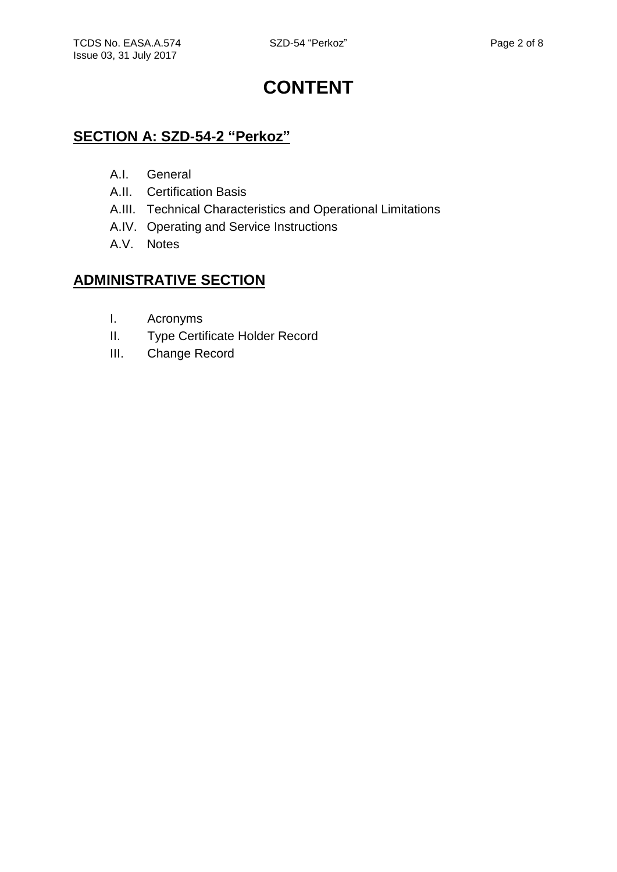# **CONTENT**

## **SECTION A: SZD-54-2 "Perkoz"**

- A.I. General
- A.II. Certification Basis
- A.III. Technical Characteristics and Operational Limitations
- A.IV. Operating and Service Instructions
- A.V. Notes

## **ADMINISTRATIVE SECTION**

- I. Acronyms
- II. Type Certificate Holder Record
- III. Change Record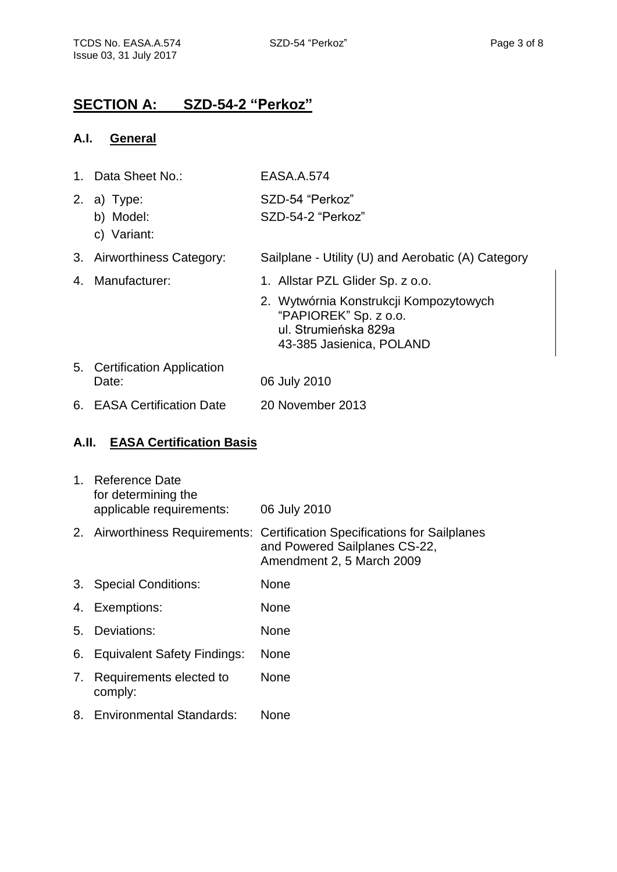### **SECTION A: SZD-54-2 "Perkoz"**

#### **A.I. General**

| $1_{-}$ | Data Sheet No.:                       | EASA.A.574                                                                                                          |
|---------|---------------------------------------|---------------------------------------------------------------------------------------------------------------------|
| 2.      | a) Type:<br>b) Model:<br>c) Variant:  | SZD-54 "Perkoz"<br>SZD-54-2 "Perkoz"                                                                                |
|         | 3. Airworthiness Category:            | Sailplane - Utility (U) and Aerobatic (A) Category                                                                  |
| 4.      | Manufacturer:                         | 1. Allstar PZL Glider Sp. z o.o.                                                                                    |
|         |                                       | 2. Wytwórnia Konstrukcji Kompozytowych<br>"PAPIOREK" Sp. z o.o.<br>ul. Strumieńska 829a<br>43-385 Jasienica, POLAND |
|         | 5. Certification Application<br>Date: | 06 July 2010                                                                                                        |
|         | 6. EASA Certification Date            | 20 November 2013                                                                                                    |

### **A.II. EASA Certification Basis**

| 1. | <b>Reference Date</b><br>for determining the<br>applicable requirements: | 06 July 2010                                                                                                                             |
|----|--------------------------------------------------------------------------|------------------------------------------------------------------------------------------------------------------------------------------|
|    |                                                                          | 2. Airworthiness Requirements: Certification Specifications for Sailplanes<br>and Powered Sailplanes CS-22,<br>Amendment 2, 5 March 2009 |
| 3. | <b>Special Conditions:</b>                                               | <b>None</b>                                                                                                                              |
|    | 4. Exemptions:                                                           | <b>None</b>                                                                                                                              |
| 5. | Deviations:                                                              | <b>None</b>                                                                                                                              |
| 6. | <b>Equivalent Safety Findings:</b>                                       | <b>None</b>                                                                                                                              |
| 7. | Requirements elected to<br>comply:                                       | <b>None</b>                                                                                                                              |
| 8. | <b>Environmental Standards:</b>                                          | <b>None</b>                                                                                                                              |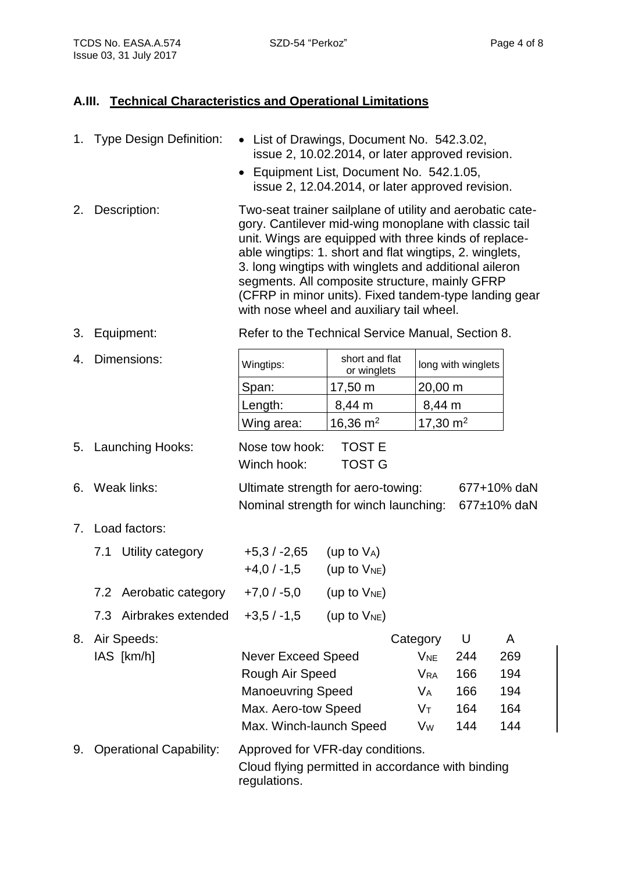### **A.III. Technical Characteristics and Operational Limitations**

|    |             | 1. Type Design Definition:     | • List of Drawings, Document No. 542.3.02,<br>issue 2, 10.02.2014, or later approved revision.<br>Equipment List, Document No. 542.1.05,<br>issue 2, 12.04.2014, or later approved revision.                                                                                                                                                                                                                                                            |                                |                       |                    |     |  |
|----|-------------|--------------------------------|---------------------------------------------------------------------------------------------------------------------------------------------------------------------------------------------------------------------------------------------------------------------------------------------------------------------------------------------------------------------------------------------------------------------------------------------------------|--------------------------------|-----------------------|--------------------|-----|--|
| 2. |             | Description:                   | Two-seat trainer sailplane of utility and aerobatic cate-<br>gory. Cantilever mid-wing monoplane with classic tail<br>unit. Wings are equipped with three kinds of replace-<br>able wingtips: 1. short and flat wingtips, 2. winglets,<br>3. long wingtips with winglets and additional aileron<br>segments. All composite structure, mainly GFRP<br>(CFRP in minor units). Fixed tandem-type landing gear<br>with nose wheel and auxiliary tail wheel. |                                |                       |                    |     |  |
| 3. |             | Equipment:                     | Refer to the Technical Service Manual, Section 8.                                                                                                                                                                                                                                                                                                                                                                                                       |                                |                       |                    |     |  |
| 4. | Dimensions: |                                | Wingtips:                                                                                                                                                                                                                                                                                                                                                                                                                                               | short and flat<br>or winglets  |                       | long with winglets |     |  |
|    |             |                                | Span:                                                                                                                                                                                                                                                                                                                                                                                                                                                   | 17,50 m                        | 20,00 m               |                    |     |  |
|    |             |                                | Length:                                                                                                                                                                                                                                                                                                                                                                                                                                                 | 8,44 m                         | 8,44 m                |                    |     |  |
|    |             |                                | Wing area:                                                                                                                                                                                                                                                                                                                                                                                                                                              | 16,36 $m2$                     | 17,30 $m2$            |                    |     |  |
| 5. |             | Launching Hooks:               | Nose tow hook:<br>Winch hook:                                                                                                                                                                                                                                                                                                                                                                                                                           | <b>TOST E</b><br><b>TOST G</b> |                       |                    |     |  |
| 6. | Weak links: |                                | Ultimate strength for aero-towing:<br>677+10% daN<br>Nominal strength for winch launching:<br>677±10% daN                                                                                                                                                                                                                                                                                                                                               |                                |                       |                    |     |  |
| 7. |             | Load factors:                  |                                                                                                                                                                                                                                                                                                                                                                                                                                                         |                                |                       |                    |     |  |
|    |             | 7.1 Utility category           | $+5,3/ -2,65$<br>$+4.0 / -1.5$ (up to $V_{NE}$ )                                                                                                                                                                                                                                                                                                                                                                                                        | (up to $V_A$ )                 |                       |                    |     |  |
|    |             | 7.2 Aerobatic category         | +7,0 / -5,0 (up to $V_{NE}$ )                                                                                                                                                                                                                                                                                                                                                                                                                           |                                |                       |                    |     |  |
|    | 7.3         | Airbrakes extended             | $+3,5/ -1,5$                                                                                                                                                                                                                                                                                                                                                                                                                                            | (up to $V_{NE}$ )              |                       |                    |     |  |
| 8. |             | Air Speeds:                    |                                                                                                                                                                                                                                                                                                                                                                                                                                                         |                                | Category              | U                  | A   |  |
|    |             | IAS [km/h]                     | <b>Never Exceed Speed</b>                                                                                                                                                                                                                                                                                                                                                                                                                               |                                | <b>V<sub>NE</sub></b> | 244                | 269 |  |
|    |             |                                | Rough Air Speed                                                                                                                                                                                                                                                                                                                                                                                                                                         |                                | <b>V<sub>RA</sub></b> | 166                | 194 |  |
|    |             |                                | <b>Manoeuvring Speed</b>                                                                                                                                                                                                                                                                                                                                                                                                                                |                                | $V_A$                 | 166                | 194 |  |
|    |             |                                | Max. Aero-tow Speed                                                                                                                                                                                                                                                                                                                                                                                                                                     |                                | $V_T$                 | 164                | 164 |  |
|    |             |                                | Max. Winch-launch Speed                                                                                                                                                                                                                                                                                                                                                                                                                                 |                                | V <sub>w</sub>        | 144                | 144 |  |
| 9. |             | <b>Operational Capability:</b> | Approved for VFR-day conditions.<br>Cloud flying permitted in accordance with binding<br>regulations.                                                                                                                                                                                                                                                                                                                                                   |                                |                       |                    |     |  |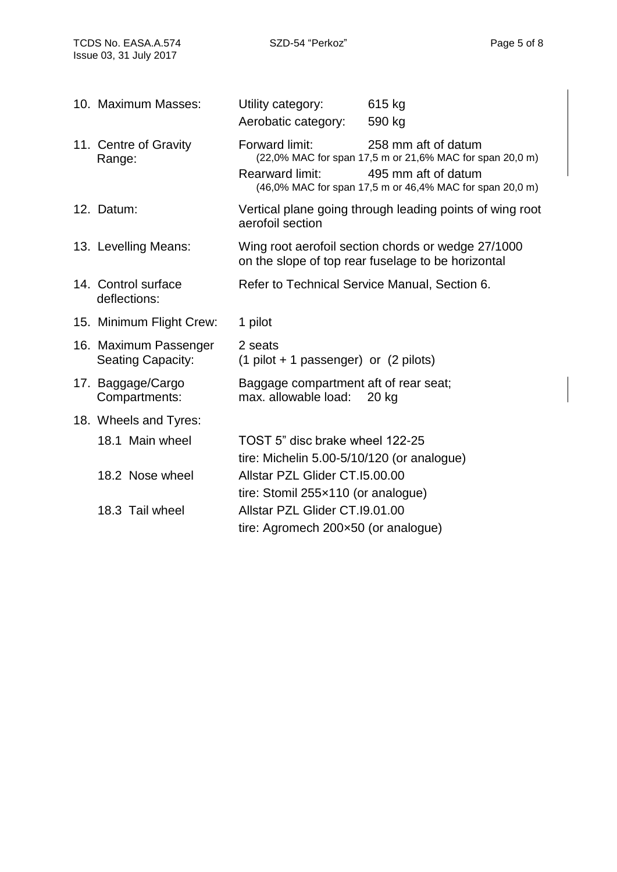| 10. Maximum Masses:                               | Utility category:<br>Aerobatic category:                                                                 | 615 kg<br>590 kg                                                                                                                                                   |  |
|---------------------------------------------------|----------------------------------------------------------------------------------------------------------|--------------------------------------------------------------------------------------------------------------------------------------------------------------------|--|
| 11. Centre of Gravity<br>Range:                   | Forward limit:<br><b>Rearward limit:</b>                                                                 | 258 mm aft of datum<br>(22,0% MAC for span 17,5 m or 21,6% MAC for span 20,0 m)<br>495 mm aft of datum<br>(46,0% MAC for span 17,5 m or 46,4% MAC for span 20,0 m) |  |
| 12. Datum:                                        | Vertical plane going through leading points of wing root<br>aerofoil section                             |                                                                                                                                                                    |  |
| 13. Levelling Means:                              | Wing root aerofoil section chords or wedge 27/1000<br>on the slope of top rear fuselage to be horizontal |                                                                                                                                                                    |  |
| 14. Control surface<br>deflections:               | Refer to Technical Service Manual, Section 6.                                                            |                                                                                                                                                                    |  |
| 15. Minimum Flight Crew:                          | 1 pilot                                                                                                  |                                                                                                                                                                    |  |
| 16. Maximum Passenger<br><b>Seating Capacity:</b> | 2 seats<br>$(1$ pilot + 1 passenger) or $(2$ pilots)                                                     |                                                                                                                                                                    |  |
| 17. Baggage/Cargo<br>Compartments:                | Baggage compartment aft of rear seat;<br>max. allowable load:                                            | 20 kg                                                                                                                                                              |  |
| 18. Wheels and Tyres:                             |                                                                                                          |                                                                                                                                                                    |  |
| 18.1 Main wheel                                   | TOST 5" disc brake wheel 122-25<br>tire: Michelin 5.00-5/10/120 (or analogue)                            |                                                                                                                                                                    |  |
| 18.2 Nose wheel                                   | Allstar PZL Glider CT.15.00.00<br>tire: Stomil 255x110 (or analogue)                                     |                                                                                                                                                                    |  |
| 18.3 Tail wheel                                   | Allstar PZL Glider CT.19.01.00<br>tire: Agromech 200×50 (or analogue)                                    |                                                                                                                                                                    |  |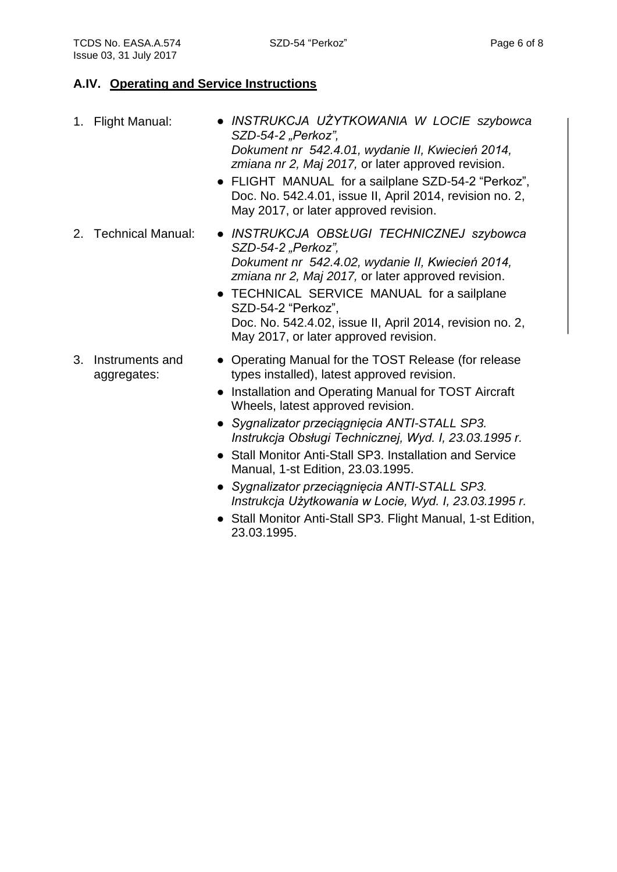#### **A.IV. Operating and Service Instructions**

| 1. | <b>Flight Manual:</b>          | • INSTRUKCJA UŻYTKOWANIA W LOCIE szybowca<br>SZD-54-2 "Perkoz",<br>Dokument nr 542.4.01, wydanie II, Kwiecień 2014,<br>zmiana nr 2, Maj 2017, or later approved revision.<br>• FLIGHT MANUAL for a sailplane SZD-54-2 "Perkoz",<br>Doc. No. 542.4.01, issue II, April 2014, revision no. 2,<br>May 2017, or later approved revision.               |
|----|--------------------------------|----------------------------------------------------------------------------------------------------------------------------------------------------------------------------------------------------------------------------------------------------------------------------------------------------------------------------------------------------|
|    | 2. Technical Manual:           | • INSTRUKCJA OBSŁUGI TECHNICZNEJ szybowca<br>SZD-54-2 "Perkoz",<br>Dokument nr 542.4.02, wydanie II, Kwiecień 2014,<br>zmiana nr 2, Maj 2017, or later approved revision.<br>• TECHNICAL SERVICE MANUAL for a sailplane<br>SZD-54-2 "Perkoz",<br>Doc. No. 542.4.02, issue II, April 2014, revision no. 2,<br>May 2017, or later approved revision. |
| 3. | Instruments and<br>aggregates: | • Operating Manual for the TOST Release (for release<br>types installed), latest approved revision.<br>• Installation and Operating Manual for TOST Aircraft<br>Wheels, latest approved revision.<br>$\sim$ Symplizator przecipaniecia ANITI STALL SD2                                                                                             |

- *Sygnalizator przeciągnięcia ANTI-STALL SP3. Instrukcja Obsługi Technicznej, Wyd. I, 23.03.1995 r.*
- Stall Monitor Anti-Stall SP3. Installation and Service Manual, 1-st Edition, 23.03.1995.
- *Sygnalizator przeciągnięcia ANTI-STALL SP3. Instrukcja Użytkowania w Locie, Wyd. I, 23.03.1995 r.*
- Stall Monitor Anti-Stall SP3. Flight Manual, 1-st Edition, 23.03.1995.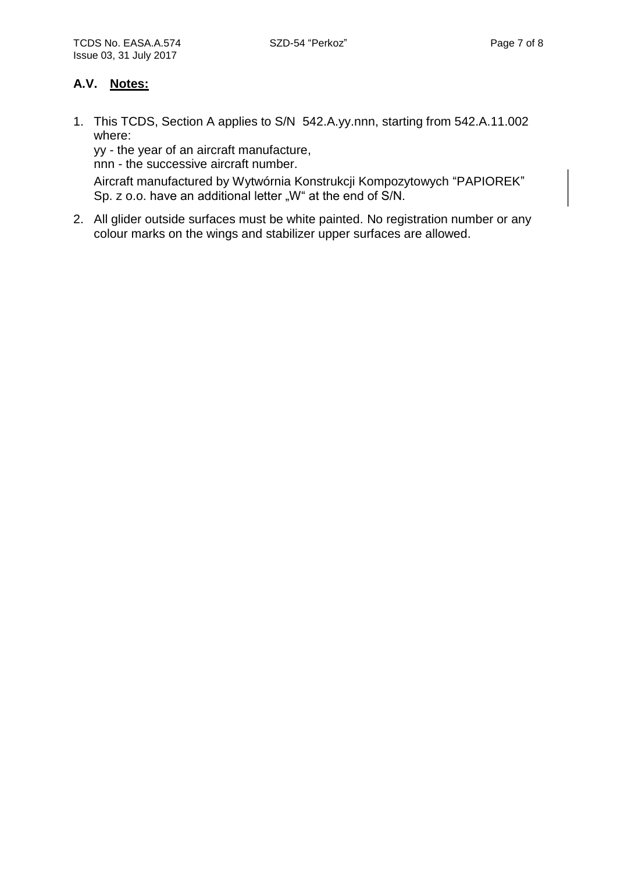#### **A.V. Notes:**

1. This TCDS, Section A applies to S/N 542.A.yy.nnn, starting from 542.A.11.002 where:

yy - the year of an aircraft manufacture,

nnn - the successive aircraft number.

Aircraft manufactured by Wytwórnia Konstrukcji Kompozytowych "PAPIOREK" Sp. z o.o. have an additional letter "W" at the end of S/N.

2. All glider outside surfaces must be white painted. No registration number or any colour marks on the wings and stabilizer upper surfaces are allowed.